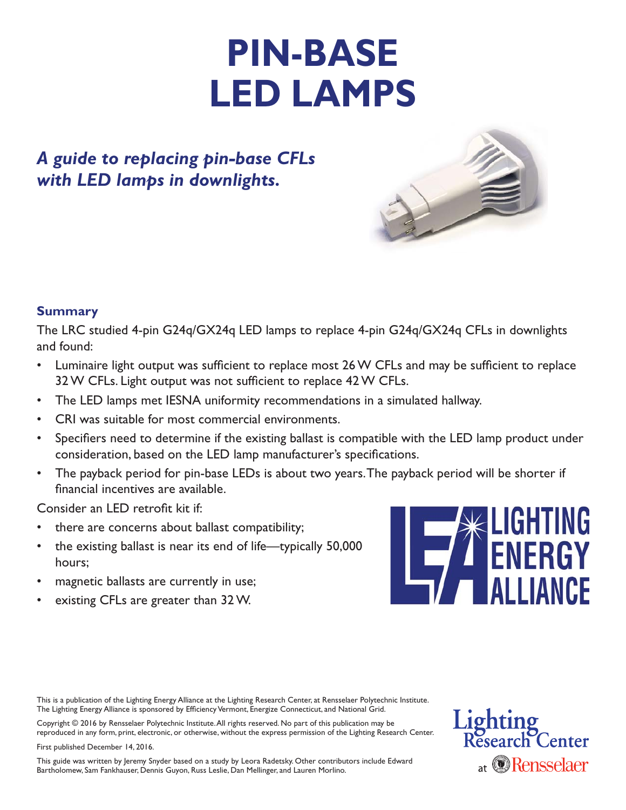# **PIN-BASE LED LAMPS**

## *A guide to replacing pin-base CFLs with LED lamps in downlights.*



#### **Summary**

The LRC studied 4-pin G24q/GX24q LED lamps to replace 4-pin G24q/GX24q CFLs in downlights and found:

- Luminaire light output was sufficient to replace most 26 W CFLs and may be sufficient to replace 32 W CFLs. Light output was not sufficient to replace 42 W CFLs.
- The LED lamps met IESNA uniformity recommendations in a simulated hallway.
- CRI was suitable for most commercial environments.
- Specifiers need to determine if the existing ballast is compatible with the LED lamp product under consideration, based on the LED lamp manufacturer's specifications.
- The payback period for pin-base LEDs is about two years. The payback period will be shorter if financial incentives are available.

Consider an LED retrofit kit if:

- there are concerns about ballast compatibility;
- the existing ballast is near its end of life—typically 50,000 hours;
- magnetic ballasts are currently in use;
- existing CFLs are greater than 32 W.



This is a publication of the Lighting Energy Alliance at the Lighting Research Center, at Rensselaer Polytechnic Institute. The Lighting Energy Alliance is sponsored by Efficiency Vermont, Energize Connecticut, and National Grid.

Copyright © 2016 by Rensselaer Polytechnic Institute. All rights reserved. No part of this publication may be reproduced in any form, print, electronic, or otherwise, without the express permission of the Lighting Research Center.

First published December 14, 2016.

This guide was written by Jeremy Snyder based on a study by Leora Radetsky. Other contributors include Edward Bartholomew, Sam Fankhauser, Dennis Guyon, Russ Leslie, Dan Mellinger, and Lauren Morlino.

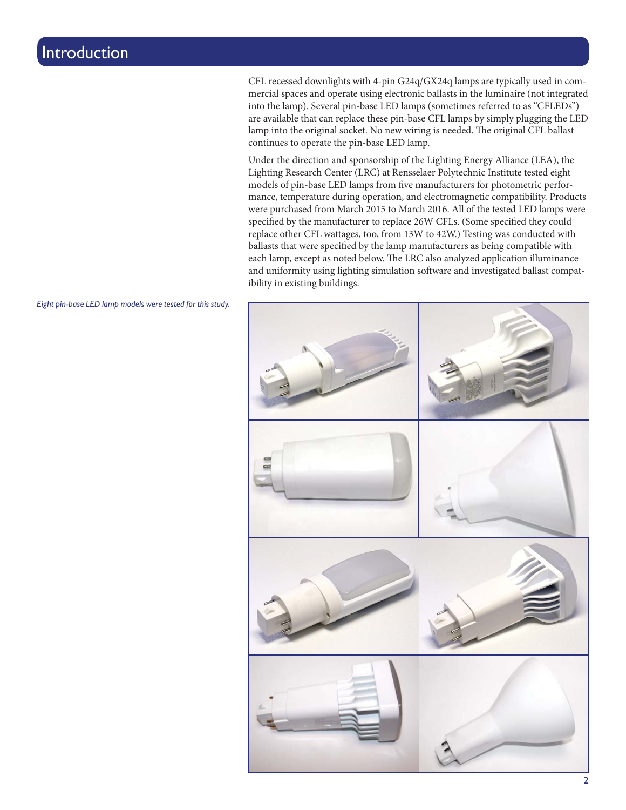CFL recessed downlights with 4-pin G24q/GX24q lamps are typically used in commercial spaces and operate using electronic ballasts in the luminaire (not integrated into the lamp). Several pin-base LED lamps (sometimes referred to as "CFLEDs") are available that can replace these pin-base CFL lamps by simply plugging the LED lamp into the original socket. No new wiring is needed. The original CFL ballast continues to operate the pin-base LED lamp.

Under the direction and sponsorship of the Lighting Energy Alliance (LEA), the Lighting Research Center (LRC) at Rensselaer Polytechnic Institute tested eight models of pin-base LED lamps from five manufacturers for photometric performance, temperature during operation, and electromagnetic compatibility. Products were purchased from March 2015 to March 2016. All of the tested LED lamps were specified by the manufacturer to replace 26W CFLs. (Some specified they could replace other CFL wattages, too, from 13W to 42W.) Testing was conducted with ballasts that were specified by the lamp manufacturers as being compatible with each lamp, except as noted below. The LRC also analyzed application illuminance and uniformity using lighting simulation software and investigated ballast compatibility in existing buildings.



*Eight pin-base LED lamp models were tested for this study.*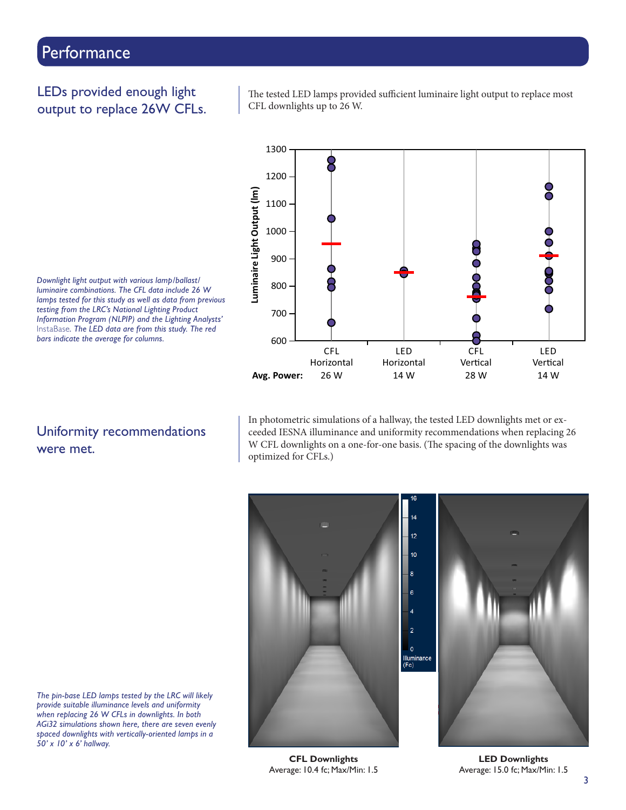#### LEDs provided enough light output to replace 26W CFLs.

The tested LED lamps provided sufficient luminaire light output to replace most CFL downlights up to 26 W.



*Downlight light output with various lamp/ballast/ luminaire combinations. The CFL data include 26 W lamps tested for this study as well as data from previous testing from the LRC's National Lighting Product Information Program (NLPIP) and the Lighting Analysts'*  InstaBase*. The LED data are from this study. The red bars indicate the average for columns.*

#### Uniformity recommendations were met.

In photometric simulations of a hallway, the tested LED downlights met or exceeded IESNA illuminance and uniformity recommendations when replacing 26 W CFL downlights on a one-for-one basis. (The spacing of the downlights was optimized for CFLs.)



*The pin-base LED lamps tested by the LRC will likely provide suitable illuminance levels and uniformity when replacing 26 W CFLs in downlights. In both AGi32 simulations shown here, there are seven evenly spaced downlights with vertically-oriented lamps in a 50' x 10' x 6' hallway.*

**CFL Downlights** Average: 10.4 fc; Max/Min: 1.5

**LED Downlights** Average: 15.0 fc; Max/Min: 1.5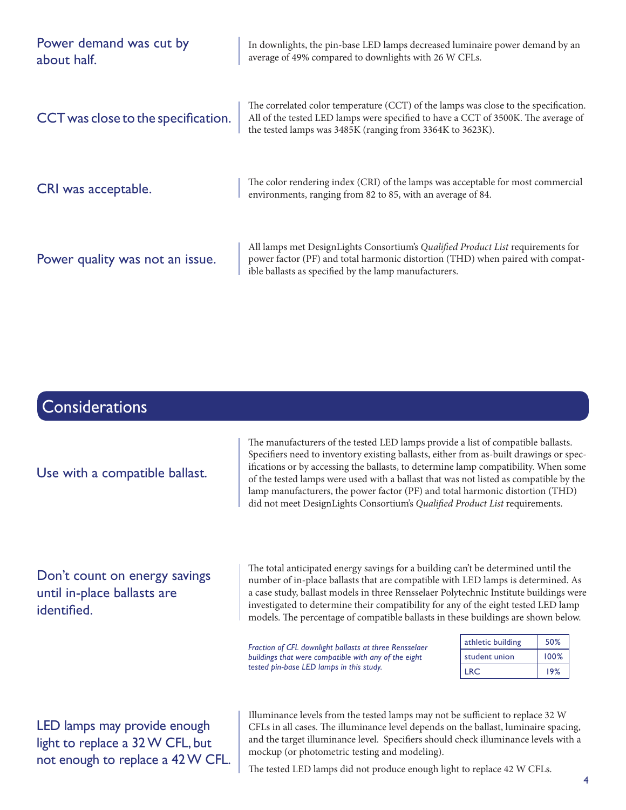| Power demand was cut by<br>about half. | In downlights, the pin-base LED lamps decreased luminaire power demand by an<br>average of 49% compared to downlights with 26 W CFLs.                                                                                                 |  |  |  |  |  |  |  |
|----------------------------------------|---------------------------------------------------------------------------------------------------------------------------------------------------------------------------------------------------------------------------------------|--|--|--|--|--|--|--|
| CCT was close to the specification.    | The correlated color temperature (CCT) of the lamps was close to the specification.<br>All of the tested LED lamps were specified to have a CCT of 3500K. The average of<br>the tested lamps was 3485K (ranging from 3364K to 3623K). |  |  |  |  |  |  |  |
| CRI was acceptable.                    | The color rendering index (CRI) of the lamps was acceptable for most commercial<br>environments, ranging from 82 to 85, with an average of 84.                                                                                        |  |  |  |  |  |  |  |
| Power quality was not an issue.        | All lamps met DesignLights Consortium's Qualified Product List requirements for<br>power factor (PF) and total harmonic distortion (THD) when paired with compat-<br>ible ballasts as specified by the lamp manufacturers.            |  |  |  |  |  |  |  |
|                                        |                                                                                                                                                                                                                                       |  |  |  |  |  |  |  |
| <b>Considerations</b>                  |                                                                                                                                                                                                                                       |  |  |  |  |  |  |  |
|                                        | The manufacturers of the tested LED lamps provide a list of compatible ballasts.<br>Specifiers need to inventory existing ballasts, either from as-built drawings or spec-                                                            |  |  |  |  |  |  |  |

Use with a compatible ballast.

ifications or by accessing the ballasts, to determine lamp compatibility. When some of the tested lamps were used with a ballast that was not listed as compatible by the lamp manufacturers, the power factor (PF) and total harmonic distortion (THD) did not meet DesignLights Consortium's Qualified Product List requirements.

Don't count on energy savings until in-place ballasts are identified.

The total anticipated energy savings for a building can't be determined until the number of in-place ballasts that are compatible with LED lamps is determined. As a case study, ballast models in three Rensselaer Polytechnic Institute buildings were investigated to determine their compatibility for any of the eight tested LED lamp models. The percentage of compatible ballasts in these buildings are shown below.

*Fraction of CFL downlight ballasts at three Rensselaer buildings that were compatible with any of the eight tested pin-base LED lamps in this study.*

| athletic building | 50%  |
|-------------------|------|
| student union     | 100% |
| I RC.             | 19%  |

LED lamps may provide enough light to replace a 32 W CFL, but not enough to replace a 42 W CFL. Illuminance levels from the tested lamps may not be sufficient to replace 32 W CFLs in all cases. The illuminance level depends on the ballast, luminaire spacing, and the target illuminance level. Specifiers should check illuminance levels with a mockup (or photometric testing and modeling).

The tested LED lamps did not produce enough light to replace 42 W CFLs.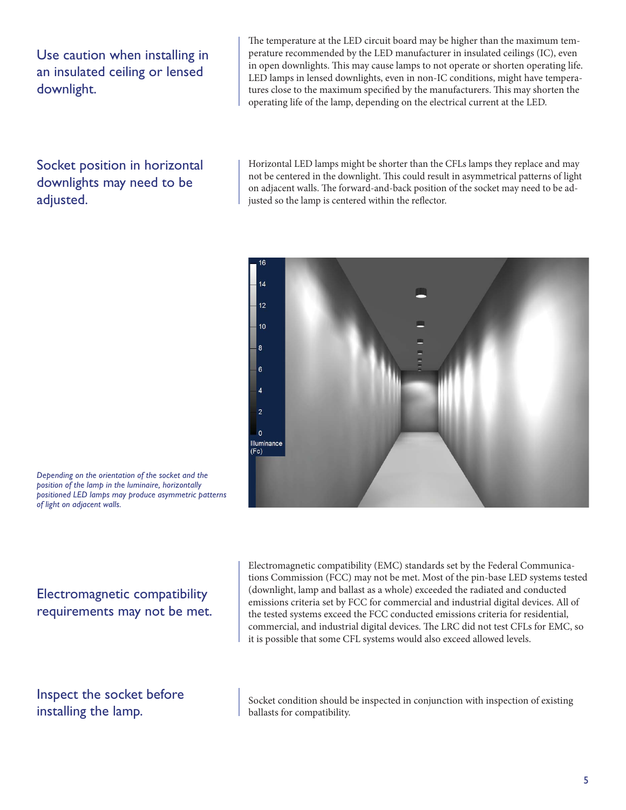Use caution when installing in an insulated ceiling or lensed downlight.

The temperature at the LED circuit board may be higher than the maximum temperature recommended by the LED manufacturer in insulated ceilings (IC), even in open downlights. This may cause lamps to not operate or shorten operating life. LED lamps in lensed downlights, even in non-IC conditions, might have temperatures close to the maximum specified by the manufacturers. This may shorten the operating life of the lamp, depending on the electrical current at the LED.

Socket position in horizontal downlights may need to be adjusted.

Horizontal LED lamps might be shorter than the CFLs lamps they replace and may not be centered in the downlight. This could result in asymmetrical patterns of light on adjacent walls. The forward-and-back position of the socket may need to be adjusted so the lamp is centered within the reflector.



*Depending on the orientation of the socket and the position of the lamp in the luminaire, horizontally positioned LED lamps may produce asymmetric patterns of light on adjacent walls.*

Electromagnetic compatibility requirements may not be met. Electromagnetic compatibility (EMC) standards set by the Federal Communications Commission (FCC) may not be met. Most of the pin-base LED systems tested (downlight, lamp and ballast as a whole) exceeded the radiated and conducted emissions criteria set by FCC for commercial and industrial digital devices. All of the tested systems exceed the FCC conducted emissions criteria for residential, commercial, and industrial digital devices. The LRC did not test CFLs for EMC, so it is possible that some CFL systems would also exceed allowed levels.

Inspect the socket before installing the lamp.

Socket condition should be inspected in conjunction with inspection of existing ballasts for compatibility.